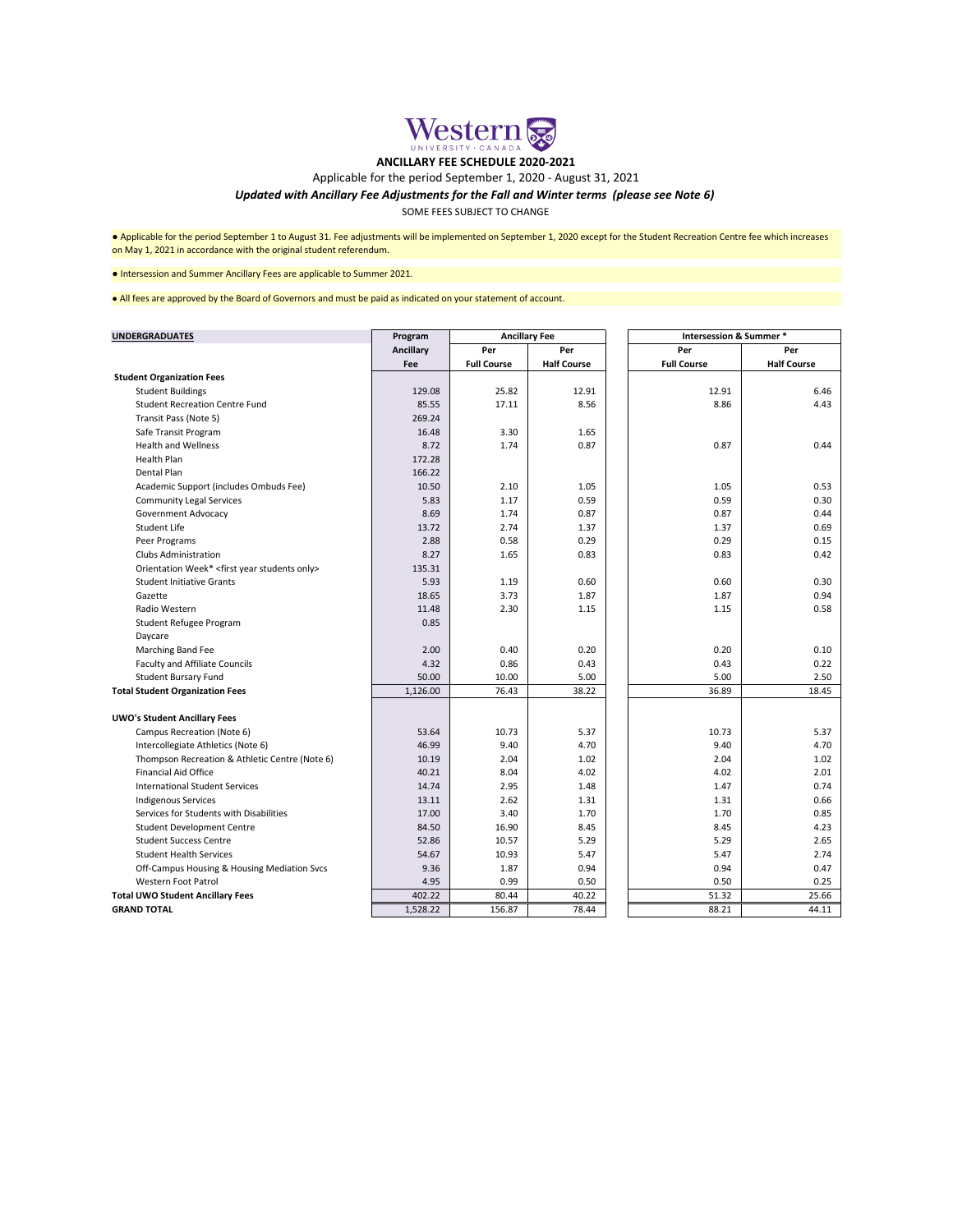| <b>UNDERGRADUATES</b>                                         | Program          | <b>Ancillary Fee</b> |                    |  | <b>Intersession &amp; Summer *</b> |                    |  |
|---------------------------------------------------------------|------------------|----------------------|--------------------|--|------------------------------------|--------------------|--|
|                                                               | <b>Ancillary</b> | Per                  | Per                |  | Per                                | Per                |  |
|                                                               | Fee              | <b>Full Course</b>   | <b>Half Course</b> |  | <b>Full Course</b>                 | <b>Half Course</b> |  |
| <b>Student Organization Fees</b>                              |                  |                      |                    |  |                                    |                    |  |
| <b>Student Buildings</b>                                      | 129.08           | 25.82                | 12.91              |  | 12.91                              | 6.46               |  |
| <b>Student Recreation Centre Fund</b>                         | 85.55            | 17.11                | 8.56               |  | 8.86                               | 4.43               |  |
| Transit Pass (Note 5)                                         | 269.24           |                      |                    |  |                                    |                    |  |
| Safe Transit Program                                          | 16.48            | 3.30                 | 1.65               |  |                                    |                    |  |
| <b>Health and Wellness</b>                                    | 8.72             | 1.74                 | 0.87               |  | 0.87                               | 0.44               |  |
| <b>Health Plan</b>                                            | 172.28           |                      |                    |  |                                    |                    |  |
| Dental Plan                                                   | 166.22           |                      |                    |  |                                    |                    |  |
| Academic Support (includes Ombuds Fee)                        | 10.50            | 2.10                 | 1.05               |  | 1.05                               | 0.53               |  |
| <b>Community Legal Services</b>                               | 5.83             | 1.17                 | 0.59               |  | 0.59                               | 0.30               |  |
| <b>Government Advocacy</b>                                    | 8.69             | 1.74                 | 0.87               |  | 0.87                               | 0.44               |  |
| Student Life                                                  | 13.72            | 2.74                 | 1.37               |  | 1.37                               | 0.69               |  |
| Peer Programs                                                 | 2.88             | 0.58                 | 0.29               |  | 0.29                               | 0.15               |  |
| <b>Clubs Administration</b>                                   | 8.27             | 1.65                 | 0.83               |  | 0.83                               | 0.42               |  |
| Orientation Week* <first only="" students="" year=""></first> | 135.31           |                      |                    |  |                                    |                    |  |
| <b>Student Initiative Grants</b>                              | 5.93             | 1.19                 | 0.60               |  | 0.60                               | 0.30               |  |
| Gazette                                                       | 18.65            | 3.73                 | 1.87               |  | 1.87                               | 0.94               |  |
| Radio Western                                                 | 11.48            | 2.30                 | 1.15               |  | 1.15                               | 0.58               |  |
| Student Refugee Program                                       | 0.85             |                      |                    |  |                                    |                    |  |
| Daycare                                                       |                  |                      |                    |  |                                    |                    |  |
| Marching Band Fee                                             | 2.00             | 0.40                 | 0.20               |  | 0.20                               | 0.10               |  |
| <b>Faculty and Affiliate Councils</b>                         | 4.32             | 0.86                 | 0.43               |  | 0.43                               | 0.22               |  |
| <b>Student Bursary Fund</b>                                   | 50.00            | 10.00                | 5.00               |  | 5.00                               | 2.50               |  |
| <b>Total Student Organization Fees</b>                        | 1,126.00         | 76.43                | 38.22              |  | 36.89                              | 18.45              |  |
| <b>UWO's Student Ancillary Fees</b>                           |                  |                      |                    |  |                                    |                    |  |
| <b>Campus Recreation (Note 6)</b>                             | 53.64            | 10.73                | 5.37               |  | 10.73                              | 5.37               |  |
| Intercollegiate Athletics (Note 6)                            | 46.99            | 9.40                 | 4.70               |  | 9.40                               | 4.70               |  |
| Thompson Recreation & Athletic Centre (Note 6)                | 10.19            | 2.04                 | 1.02               |  | 2.04                               | 1.02               |  |
| <b>Financial Aid Office</b>                                   | 40.21            | 8.04                 | 4.02               |  | 4.02                               | 2.01               |  |
| <b>International Student Services</b>                         | 14.74            | 2.95                 | 1.48               |  | 1.47                               | 0.74               |  |
| <b>Indigenous Services</b>                                    | 13.11            | 2.62                 | 1.31               |  | 1.31                               | 0.66               |  |
| Services for Students with Disabilities                       | 17.00            | 3.40                 | 1.70               |  | 1.70                               | 0.85               |  |
| <b>Student Development Centre</b>                             | 84.50            | 16.90                | 8.45               |  | 8.45                               | 4.23               |  |
| <b>Student Success Centre</b>                                 | 52.86            | 10.57                | 5.29               |  | 5.29                               | 2.65               |  |
| <b>Student Health Services</b>                                | 54.67            | 10.93                | 5.47               |  | 5.47                               | 2.74               |  |
| Off-Campus Housing & Housing Mediation Svcs                   | 9.36             | 1.87                 | 0.94               |  | 0.94                               | 0.47               |  |
| <b>Western Foot Patrol</b>                                    | 4.95             | 0.99                 | 0.50               |  | 0.50                               | 0.25               |  |
| <b>Total UWO Student Ancillary Fees</b>                       | 402.22           | 80.44                | 40.22              |  | 51.32                              | 25.66              |  |
| <b>GRAND TOTAL</b>                                            | 1,528.22         | 156.87               | 78.44              |  | 88.21                              | 44.11              |  |

● Intersession and Summer Ancillary Fees are applicable to Summer 2021.

SOME FEES SUBJECT TO CHANGE

● Applicable for the period September 1 to August 31. Fee adjustments will be implemented on September 1, 2020 except for the Student Recreation Centre fee which increases on May 1, 2021 in accordance with the original student referendum.

● All fees are approved by the Board of Governors and must be paid as indicated on your statement of account.



**ANCILLARY FEE SCHEDULE 2020-2021**

Applicable for the period September 1, 2020 - August 31, 2021

## *Updated with Ancillary Fee Adjustments for the Fall and Winter terms (please see Note 6)*